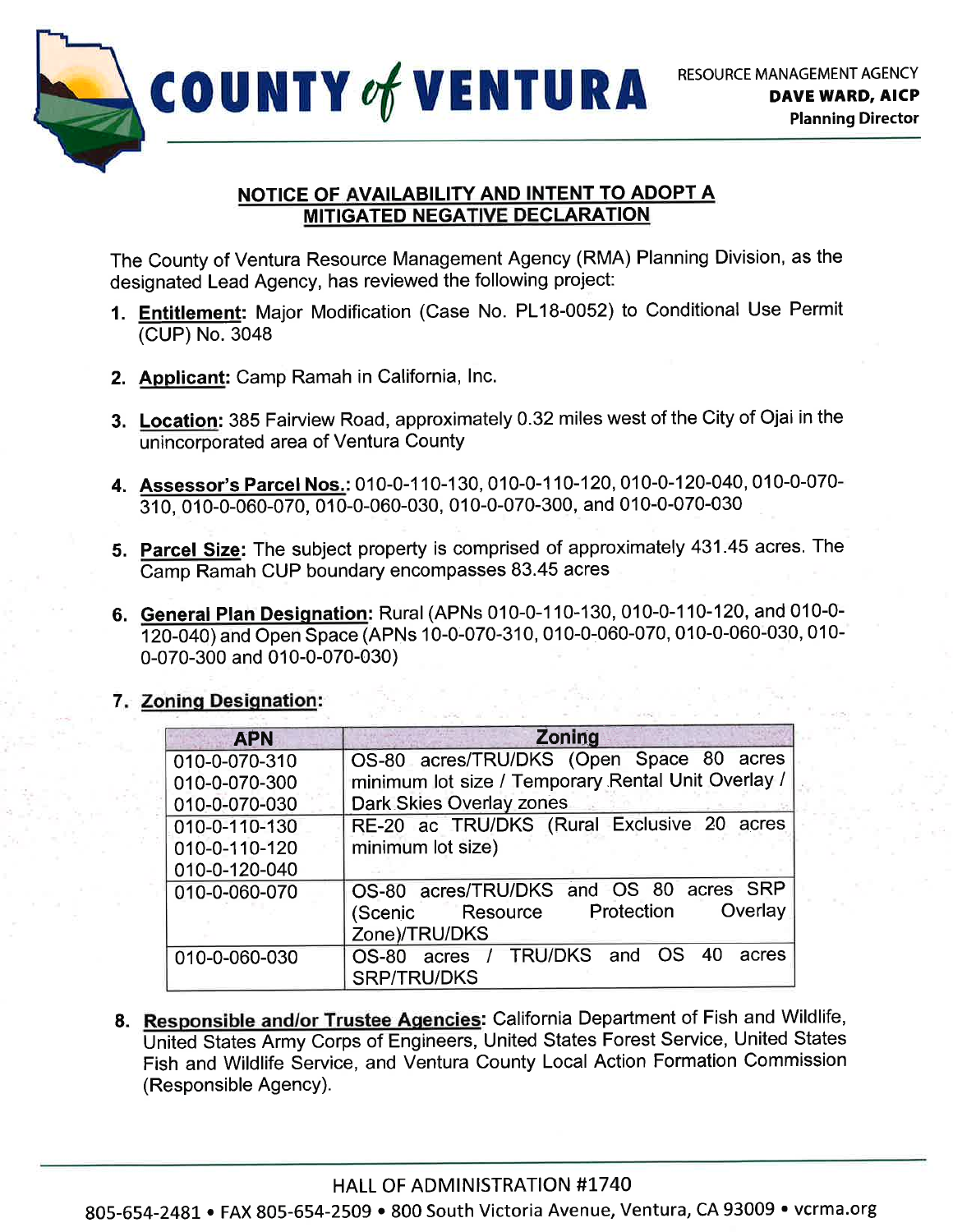

## NOTICE OF AVAILABILITY AND INTENT TO ADOPT A **MITIGATED NEGATIVE DECLARATION**

The County of Ventura Resource Management Agency (RMA) Planning Division, as the designated Lead Agency, has reviewed the following project:

- 1. Entitlement: Major Modification (Case No. PL18-0052) to Conditional Use Permit (CUP) No.3048
- 2. Applicant: Camp Ramah in California, lnc.
- 3. Location: 385 Fairview Road, approximately 0.32 miles west of the City of Ojai in the unincorporated area of Ventura County
- 4. Assessor's Parcel Nos.: 010-0-110-130, 010-0-110-120, 010-0-120-040, 010-0-070-310, 010-0-060-070, 010-0-060-030, 010-0-070-300, and 010-0-070-030
- 5. Parcel Size: The subject property is comprised of approximately 431.45 acres. The Camp Ramah CUP boundary encompasses 83.45 acres
- 6. General Plan Designation: Rural (APNs 010-0-110-130, 010-0-110-120, and 010-0-120-040) and Open Space (APNs 10-0-070-310, 010-0-060-070, 010-0-060-030, 010-0-070-300 and 010-0-070-030)

# 7. Zoning Designation:

| <b>APN</b>    | Zoning                                             |
|---------------|----------------------------------------------------|
| 010-0-070-310 | OS-80 acres/TRU/DKS (Open Space 80 acres           |
| 010-0-070-300 | minimum lot size / Temporary Rental Unit Overlay / |
| 010-0-070-030 | Dark Skies Overlay zones                           |
| 010-0-110-130 | RE-20 ac TRU/DKS (Rural Exclusive 20 acres         |
| 010-0-110-120 | minimum lot size)                                  |
| 010-0-120-040 |                                                    |
| 010-0-060-070 | OS-80 acres/TRU/DKS and OS 80 acres SRP            |
|               | Overlay<br>(Scenic Resource Protection             |
|               | Zone)/TRU/DKS                                      |
| 010-0-060-030 | acres / TRU/DKS and OS 40<br><b>OS-80</b><br>acres |
|               | <b>SRP/TRU/DKS</b>                                 |

8. Responsible and/or Trustee Agencies: California Department of Fish and Wildlife, United States Army Corps of Engineers, United States Forest Service, United States Fish and Wildlife Service, and Ventura County Local Action Formation Commission (Responsible Agency).

805-654-2481 . FAX 805-654-2509 . 800 South Victoria Avenue, Ventura, CA 93009 . vcrma.org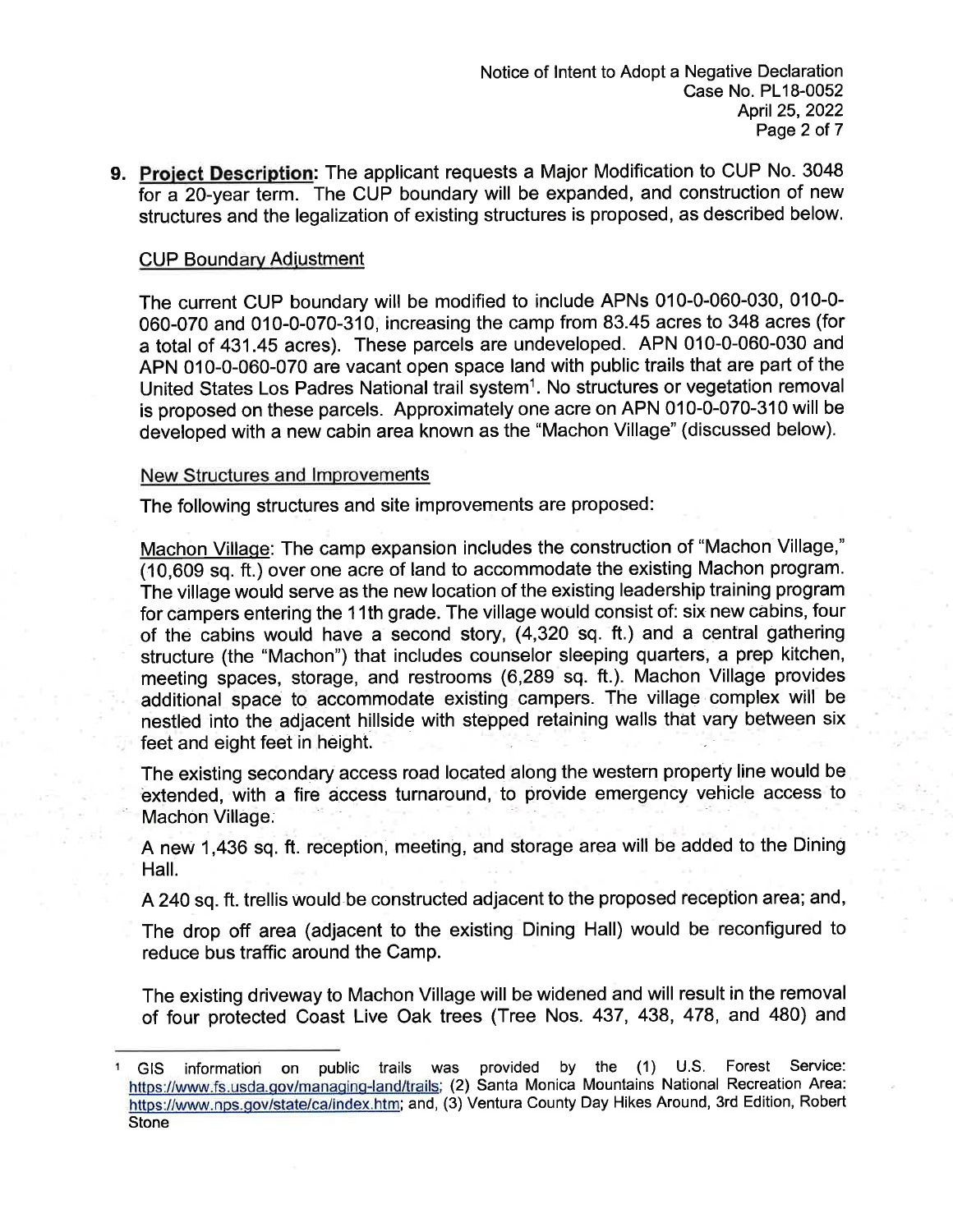9. Project Description: The applicant requests a Major Modification to CUP No. 3048 for a 2O-year term. The CUP boundary will be expanded, and construction of new structures and the legalization of existing structures is proposed, as described below.

### **CUP Boundary Adiustment**

The current CUP boundary will be modified to include APNs 010-0-060-030, 010-0- 060-070 and 010-0-070-310, increasing the camp from 83.45 acres to 348 acres (for a total of 431.45 acres). These parcels are undeveloped. APN 010-0-060-030 and APN 010-0-060-070 are vacant open space land with public trails that are part of the United States Los Padres National trail system<sup>1</sup>. No structures or vegetation removal is proposed on these parcels. Approximately one acre on APN 010-0-070-310 will be developed with a new cabin area known as the "Machon Village" (discussed below).

#### New Structures and lmprovements

The following structures and site improvements are proposed:

Machon Village: The camp expansion includes the construction of "Machon Village," (10,609 sq. ft.) over one acre of land to accommodate the existing Machon program. The village would serve as the new location of the existing leadership training program for campers entering the 11th grade. The village would consist of: six new cabins, four of the cabins would have a second story, (4,320 sq. ft.) and a central gathering structure (the "Machon") that includes counselor sleeping quarters, a prep kitchen, meeting spaces, storage, and restrooms (6,289 sq. ft.). Machon Village provides additional space to accommodate existing campers. The village complex will be nestled into the adjacent hillside with stepped retaining walls that vary between six feet and eight feet in height.

The existing secondary access road located along the western property line would be extended, with a fire access turnaround, to provide emergency vehicle access to Machon Village.

A new 1,436 sq. ft. reception, meeting, and storage area will be added to the Dining Hall.

A 240 sq. ft. trellis would be constructed adjacent to the proposed reception area; and,

The drop off area (adjacent to the existing Dining Hall) would be reconfigured to reduce bus traffic around the Camp.

The existing driveway to Machon Village will be widened and will result in the removal of four protected Coast Live Oak trees (Tree Nos. 437, 438, 478, and 480) and

GIS information on public trails was provided by the (1) U.S. Forest Service: https://www.fs.usda.gov/managing-land/trails; (2) Santa Monica Mountains National Recreation Area: https://www.nps.gov/state/ca/index.htm; and, (3) Ventura County Day Hikes Around, 3rd Edition, Robert **Stone**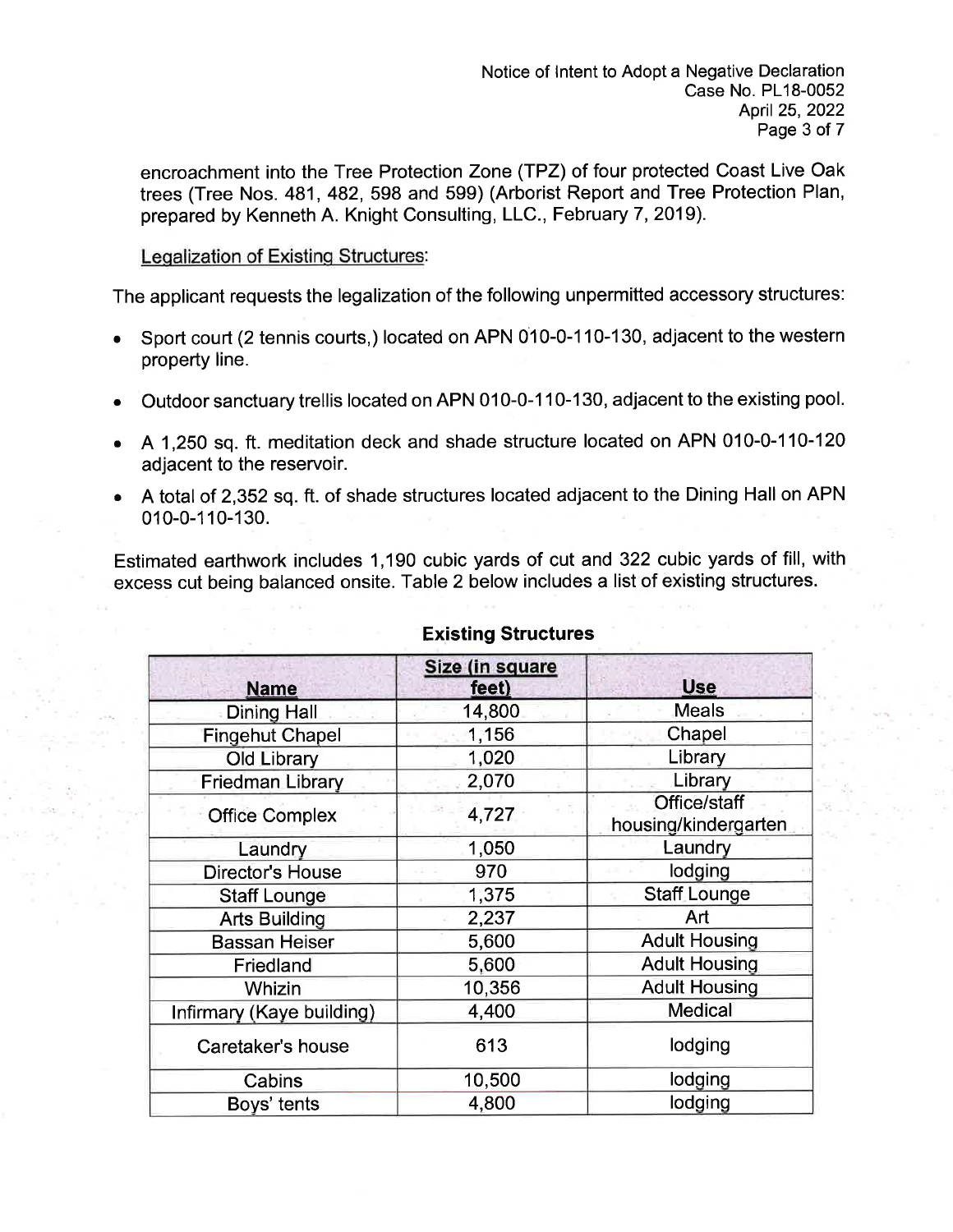encroachment into the Tree Protection Zone (TPZ) of four protected Coast Live Oak trees (Tree Nos. 481, 482, 598 and 599) (Arborist Report and Tree Protection Plan, prepared by Kenneth A. Knight Consulting, LLC., February 7,2019).

## Legalization of Existing Structures:

The applicant requests the legalization of the following unpermitted accessory structures:

- Sport court (2 tennis courts,) located on APN 010-0-110-130, adjacent to the western property line.
- . Outdoor sanctuary trellis located on APN 010-0-1 10-130, adjacent to the existing pool.
- o A1,250 sq.ft.meditation deck and shade structure located on APN 010-0-110-120 adjacent to the reservoir.
- a A total of 2,352 sq.ft. of shade structures located adjacent to the Dining Hall on APN 010-0-110-130.

Estimated earthwork includes 1,190 cubic yards of cut and 322 cubic yards of fill, with excess cut being balanced onsite. Table 2 below includes a list of existing structures.

| <b>Name</b>               | Size (in square<br>feet) | <b>Use</b>                           |
|---------------------------|--------------------------|--------------------------------------|
| <b>Dining Hall</b>        | 14,800                   | <b>Meals</b>                         |
| <b>Fingehut Chapel</b>    | 1,156                    | Chapel                               |
| <b>Old Library</b>        | 1,020                    | Library                              |
| <b>Friedman Library</b>   | 2,070                    | Library                              |
| <b>Office Complex</b>     | 4,727                    | Office/staff<br>housing/kindergarten |
| Laundry                   | 1,050                    | Laundry                              |
| <b>Director's House</b>   | 970                      | lodging                              |
| <b>Staff Lounge</b>       | 1,375                    | <b>Staff Lounge</b>                  |
| <b>Arts Building</b>      | 2,237                    | Art                                  |
| <b>Bassan Heiser</b>      | 5,600                    | <b>Adult Housing</b>                 |
| Friedland                 | 5,600                    | <b>Adult Housing</b>                 |
| Whizin                    | 10,356                   | <b>Adult Housing</b>                 |
| Infirmary (Kaye building) | 4,400                    | <b>Medical</b>                       |
| Caretaker's house         | 613                      | lodging                              |
| Cabins                    | 10,500                   | lodging                              |
| Boys' tents               | 4,800                    | lodging                              |

## Existing Structures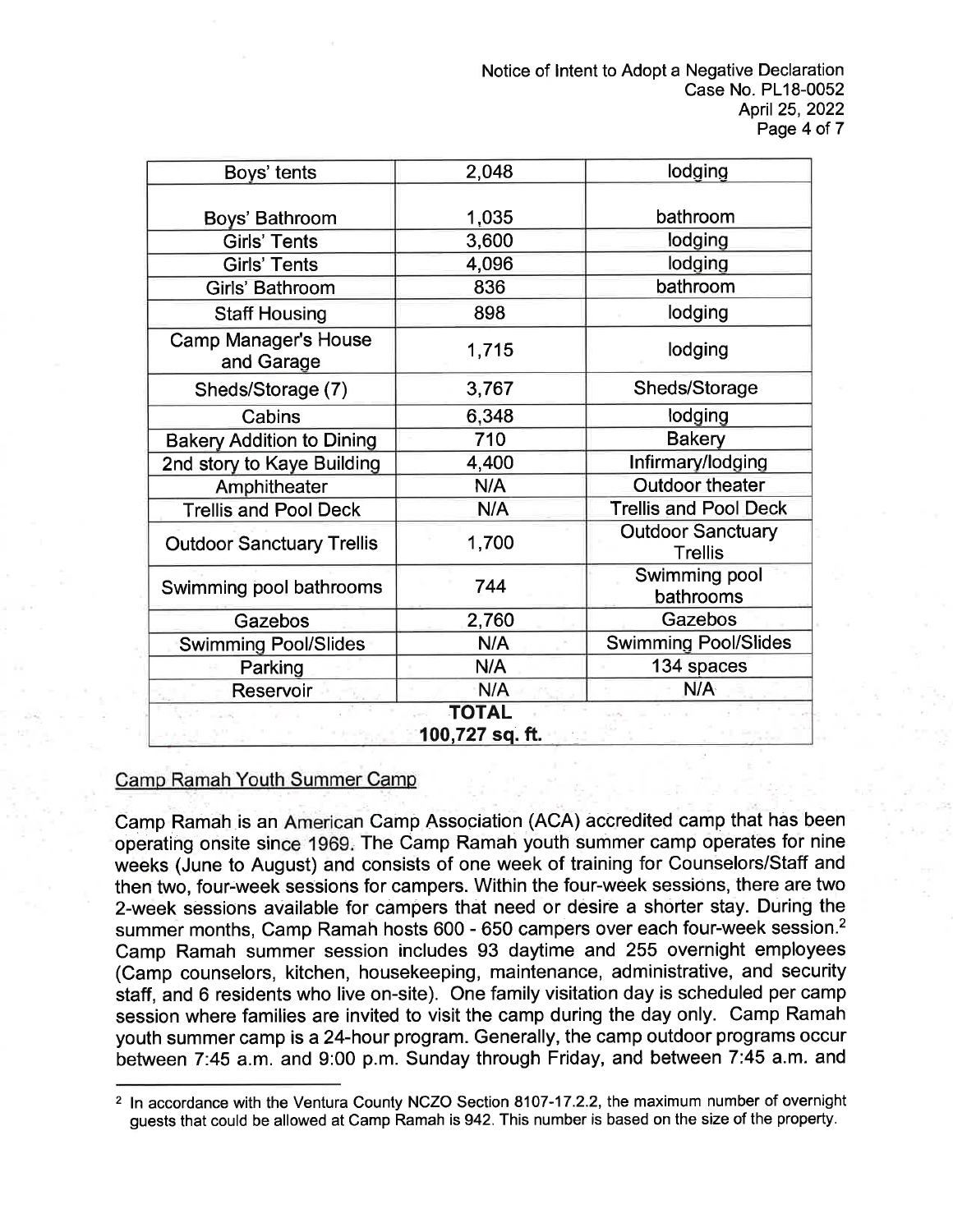| Boys' tents                               | 2,048 | lodging                                    |  |  |
|-------------------------------------------|-------|--------------------------------------------|--|--|
|                                           |       |                                            |  |  |
| Boys' Bathroom                            | 1,035 | bathroom                                   |  |  |
| <b>Girls' Tents</b>                       | 3,600 | lodging                                    |  |  |
| <b>Girls' Tents</b>                       | 4,096 | lodging                                    |  |  |
| Girls' Bathroom                           | 836   | bathroom                                   |  |  |
| <b>Staff Housing</b>                      | 898   | lodging                                    |  |  |
| <b>Camp Manager's House</b><br>and Garage | 1,715 | lodging                                    |  |  |
| Sheds/Storage (7)                         | 3,767 | Sheds/Storage                              |  |  |
| Cabins                                    | 6,348 | lodging                                    |  |  |
| <b>Bakery Addition to Dining</b>          | 710   | <b>Bakery</b>                              |  |  |
| 2nd story to Kaye Building                | 4,400 | Infirmary/lodging                          |  |  |
| Amphitheater                              | N/A   | <b>Outdoor theater</b>                     |  |  |
| <b>Trellis and Pool Deck</b>              | N/A   | <b>Trellis and Pool Deck</b>               |  |  |
| <b>Outdoor Sanctuary Trellis</b>          | 1,700 | <b>Outdoor Sanctuary</b><br><b>Trellis</b> |  |  |
| Swimming pool bathrooms                   | 744   | Swimming pool<br>bathrooms                 |  |  |
| Gazebos                                   | 2,760 | Gazebos                                    |  |  |
| <b>Swimming Pool/Slides</b>               | N/A   | <b>Swimming Pool/Slides</b>                |  |  |
| Parking                                   | N/A   | 134 spaces                                 |  |  |
| Reservoir                                 | N/A   | N/A                                        |  |  |
| <b>TOTAL</b><br>100,727 sq. ft.           |       |                                            |  |  |

## Camp Ramah Youth Summer Camp

.1 Camp Ramah is an American Camp Association (ACA) accredited camp that has been operating onsite since 1969. The Camp Ramah youth summer camp operates for nine weeks (June to August) and consists of one week of training for Counselors/Staff and then two, four-week sessions for campers. Within the four-week sessions, there are two 2-week sessions available for campers that need or desire a shorter stay. During the summer months, Camp Ramah hosts 600 - 650 campers over each four-week session.<sup>2</sup> Camp Ramah summer session includes 93 daytime and 255 overnight employees (Camp counselors, kitchen, housekeeping, maintenance, administrative, and security staff, and 6 residents who live on-site). One family visitation day is scheduled per camp session where families are invited to visit the camp during the day only. Camp Ramah youth summer camp is a 24-hour program. Generally, the camp outdoor programs occur between 7:45 a.m. and 9:00 p.m. Sunday through Friday, and between 7:45 a.m. and

<sup>2</sup> ln accordance with the Ventura County NCZO Section 5107-17.2.2, the maximum number of overnight guests that could be allowed at Camp Ramah is 942. This number is based on the size of the property.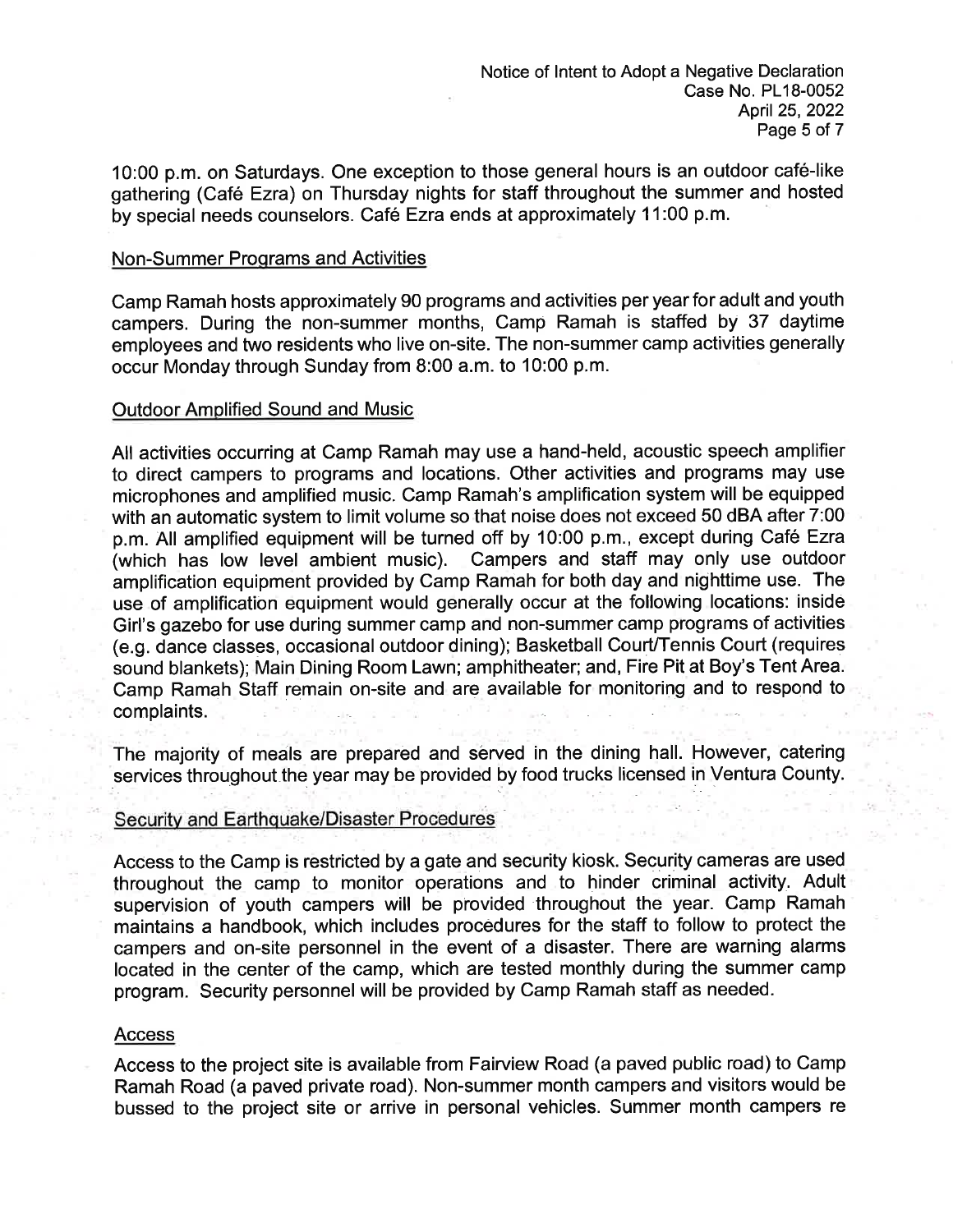10:00 p.m. on Saturdays. One exception to those general hours is an outdoor café-like gathering (Cafe Ezra) on Thursday nights for staff throughout the summer and hosted by special needs counselors. Café Ezra ends at approximately 11:00 p.m.

#### Non-Summer Proqrams and Activities

Camp Ramah hosts approximately 90 programs and activities per year for adult and youth campers. During the non-summer months, Camp Ramah is staffed by 37 daytime employees and two residents who live on-site. The non-summer camp activities generally occur Monday through Sunday from 8:00 a.m. to 10:00 p.m.

#### Outdoor Amplified Sound and Music

All activities occurring at Camp Ramah may use a hand-held, acoustic speech amplifier to direct campers to programs and locations. Other activities and programs may use microphones and amplified music. Camp Ramah's amplification system will be equipped with an automatic system to limit volume so that noise does not exceed 50 dBA after 7:00 p.m. All amplified equipment will be turned off by 10:00 p.m., except during Café Ezra (which has low level ambient music). Campers and staff may only use outdoor amplification equipment provided by Camp Ramah for both day and nighttime use. The use of amplification equipment would generally occur at the following locations: inside Girl's gazebo for use during summer camp and non-summer camp programs of activities (e.g. dance classes, occasional outdoor dining); Basketball CourUTennis Court (requires sound blankets); Main Dining Room Lawn; amphitheater; and, Fire Pit at Boy's Tent Area. Camp Ramah Staff remain on-site and are available for monitoring and to respond to complaints.

The majority of meals are prepared and served in the dining hall. However, catering services throughout the year may be provided by food trucks licensed in Ventura County.

#### SecUritv and Earthquake/Disaster Procedures

Access to the Camp is restricted by a gate and security kiosk. Security cameras are used throughout the camp to monitor operations and to hinder criminal activity. Adult supervision of youth campers will be provided'throughout the year. Camp Ramah maintains a handbook, which includes procedures for the staff to follow to protect the campers and on-site personnel in the event of a disaster. There are warning alarms located in the center of the camp, which are tested monthly during the summer camp program. Security personnel will be provided by Camp Ramah staff as needed.

#### Access

Access to the project site is available from Fairview Road (a paved public road) to Camp Ramah Road (a paved private road). Non-summer month campers and visitors would be bussed to the project site or arrive in personal vehicles. Summer month campers re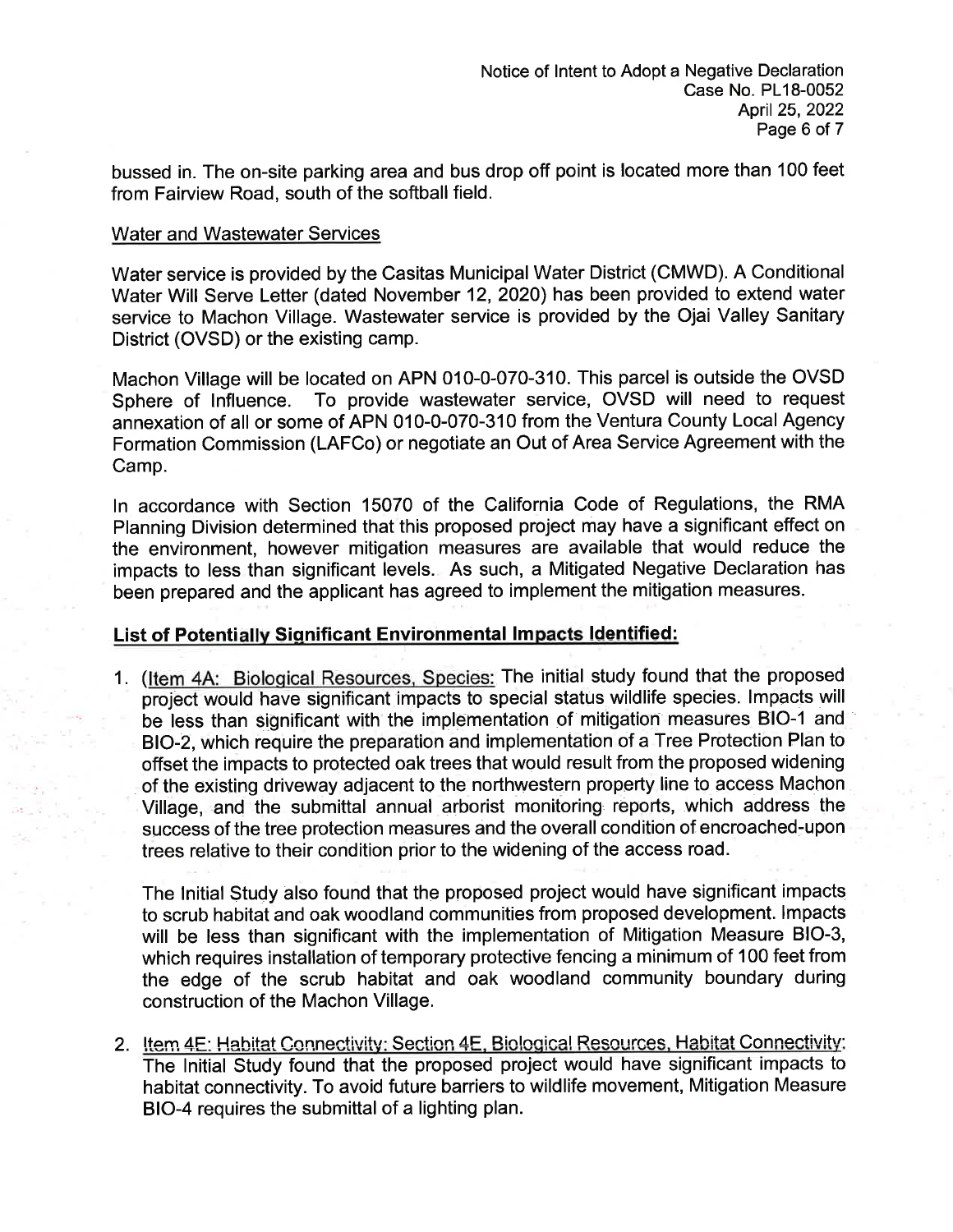bussed in. The on-site parking area and bus drop off point is located more than 100 feet from Fairview Road, south of the softball field.

### Water and Wastewater Services

Water service is provided by the Casitas Municipal Water District (CMWD). A Conditional Water Will Serve Letter (dated November 12,2020) has been provided to extend water service to Machon Village. Wastewater service is provided by the Ojai Valley Sanitary District (OVSD) or the existing camp.

Machon Village will be located on APN 010-0-070-310. This parcel is outside the OVSD Sphere of lnfluence. To provide wastewater service, OVSD will need to request annexation of all or some of APN 010-0-070-310 from the Ventura County Local Agency Formation Commission (LAFCo) or negotiate an Out of Area Service Agreement with the Camp.

ln accordance with Section 15070 of the California Code of Regulations, the RMA Planning Division determined that this proposed project may have a significant effect on the environment, however mitigation measures are available that would reduce the impacts to less than significant levels. As such, a Mitigated Negative Declaration has been prepared and the applicant has agreed to implement the mitigation measures.

## List of Potentially Significant Environmental Impacts Identified:

1. (Item 4A: Biological Resources, Species: The initial study found that the proposed project would have significant impacts to special status wildlife species. lmpacts will be less than significant with the implementation of mitigation measures BIO-1 and BIO-2, which require the preparation and implementation of a Tree Protection Plan to offset the impacts to protected oak trees that would result from the proposed widening of the existing driveway adjacent to the northwestern property line to access Machon Village, and the submittal annual arborist monitoring reports, which address the success of the tree protection measures and the overall condition of encroached-upon trees relative to their condition prior to the widening of the access road.

The lnitial Study also found that the proposed project would have significant impacts. to scrub habitat and oak woodland communities from proposed development. lmpacts will be less than significant with the implementation of Mitigation Measure BIO-3, which requires installation of temporary protective fencing a minimum of 100 feet from the edge of the scrub habitat and oak woodland community boundary during construction of the Machon Village.

2. Item 4E: Habitat Connectivity: Section 4E, Biological Resources, Habitat Connectivity: The lnitial Study found that the proposed project would have significant impacts to habitat connectivity. To avoid future barriers to wildlife movement, Mitigation Measure BIO-4 requires the submittal of a lighting plan.